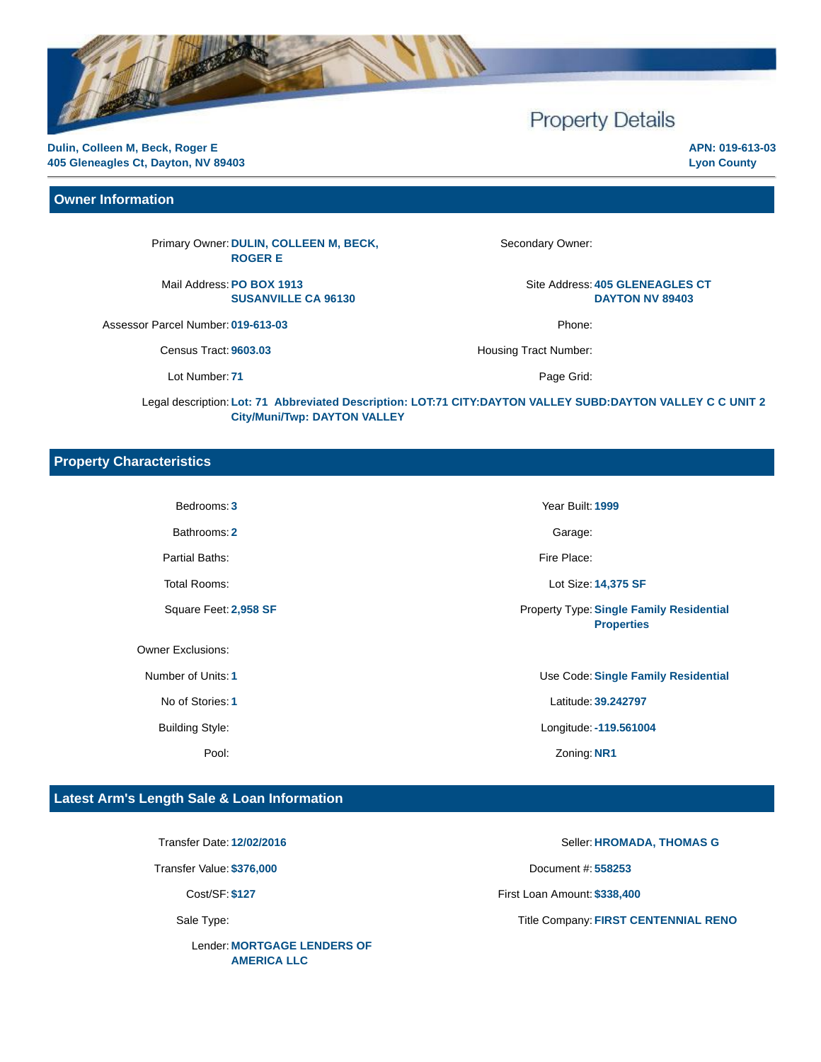# **Property Details**

**Dulin, Colleen M, Beck, Roger E 405 Gleneagles Ct, Dayton, NV 89403**

**Owner Information**

Primary Owner: **DULIN, COLLEEN M, BECK, ROGER E**

Mail Address: **PO BOX 1913 SUSANVILLE CA 96130**

Assessor Parcel Number: **019-613-03** Phone:

Census Tract: 9603.03 **https://www.fractites.org/EU** Housing Tract Number:

Lot Number: 71 Page Grid:

Secondary Owner:

Site Address: **405 GLENEAGLES CT DAYTON NV 89403**

Legal description: **Lot: 71 Abbreviated Description: LOT:71 CITY:DAYTON VALLEY SUBD:DAYTON VALLEY C C UNIT 2 City/Muni/Twp: DAYTON VALLEY**

#### **Property Characteristics**

Bedrooms: **3** Year Built: **1999**

Bathrooms: 2 Garage:

Partial Baths: Fire Place:

Owner Exclusions:

Total Rooms: Lot Size: **14,375 SF** Square Feet: **2,958 SF** Property Type:**Single Family Residential Properties**

Number of Units: **1** Use Code:**Single Family Residential** No of Stories: **1** Latitude: **39.242797** Building Style: Longitude:**-119.561004** Pool: Zoning: **NR1**

## **Latest Arm's Length Sale & Loan Information**

Lender: **MORTGAGE LENDERS OF AMERICA LLC**

Transfer Date: **12/02/2016** Seller: **HROMADA, THOMAS G** Transfer Value: **\$376,000** Document #: **558253** Cost/SF: **\$127** First Loan Amount: **\$338,400**

Sale Type: Title Company: **FIRST CENTENNIAL RENO** 

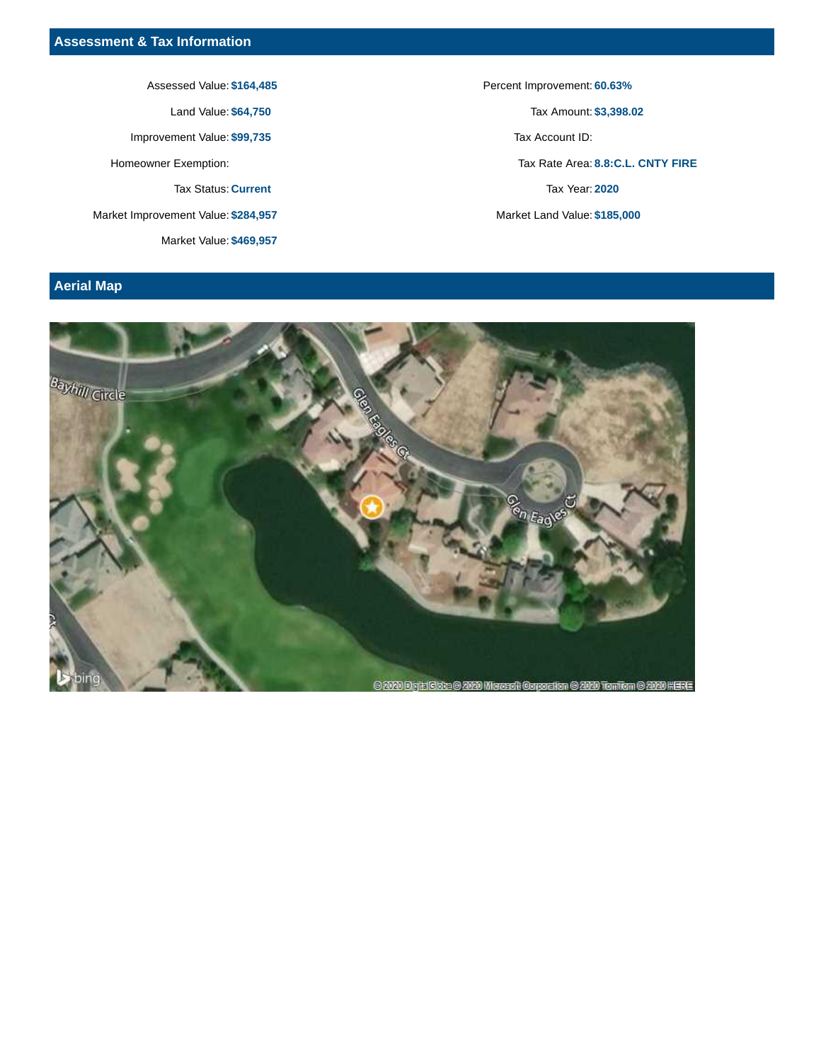Assessed Value: \$164,485 **Percent Improvement: 60.63%** 

Improvement Value: \$99,735 Tax Account ID:

Tax Status: **Current** Tax Year: **2020**

Market Improvement Value: **\$284,957** Market Land Value: **\$185,000**

Market Value: **\$469,957**

Land Value: **\$64,750** Tax Amount: **\$3,398.02** Homeowner Exemption: Tax Rate Area: **8.8:C.L. CNTY FIRE**

# **Aerial Map**

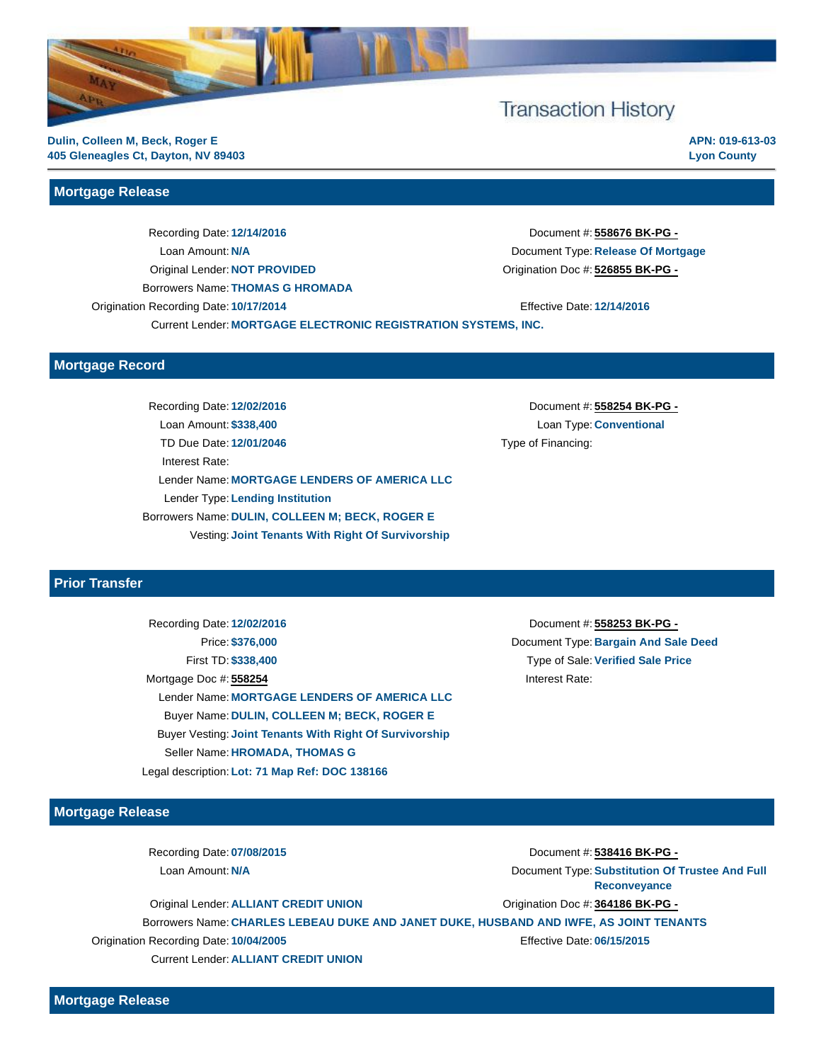

#### **Mortgage Release**

Recording Date: **12/14/2016** Document #: **558676 BK-PG -** Loan Amount: **N/A** Document Type: **Release Of Mortgage** Original Lender: **NOT PROVIDED** Origination Doc #: **526855 BK-PG -** Borrowers Name: **THOMAS G HROMADA** Origination Recording Date: **10/17/2014** Effective Date: **12/14/2016** Current Lender: **MORTGAGE ELECTRONIC REGISTRATION SYSTEMS, INC.**

**Mortgage Record**

Recording Date: **12/02/2016** Document #: **558254 BK-PG -** Loan Amount: **\$338,400** Loan Type: **Conventional** TD Due Date: **12/01/2046** TD Due Date: **12/01/2046** Type of Financing: Interest Rate: Lender Name: **MORTGAGE LENDERS OF AMERICA LLC** Lender Type: **Lending Institution** Borrowers Name: **DULIN, COLLEEN M; BECK, ROGER E** Vesting: **Joint Tenants With Right Of Survivorship**

**APN: 019-613-03 Lyon County**

#### **Prior Transfer**

Recording Date: **12/02/2016** Document #: **558253 BK-PG -** Price: **\$376,000** Document Type: **Bargain And Sale Deed** First TD: **\$338,400** Type of Sale:**Verified Sale Price** Mortgage Doc #: 558254 **Interest Rate:** Lender Name: **MORTGAGE LENDERS OF AMERICA LLC** Buyer Name: **DULIN, COLLEEN M; BECK, ROGER E** Buyer Vesting: **Joint Tenants With Right Of Survivorship** Seller Name: **HROMADA, THOMAS G** Legal description: **Lot: 71 Map Ref: DOC 138166** 

#### **Mortgage Release**

Recording Date: **07/08/2015** Document #: **538416 BK-PG -**

Loan Amount: **N/A** Document Type: **Substitution Of Trustee And Full Reconveyance**

Original Lender: **ALLIANT CREDIT UNION Origination Doc #: 364186 BK-PG -**Borrowers Name: **CHARLES LEBEAU DUKE AND JANET DUKE, HUSBAND AND IWFE, AS JOINT TENANTS** Origination Recording Date: **10/04/2005** Effective Date: **06/15/2015** Current Lender: **ALLIANT CREDIT UNION**

**Mortgage Release**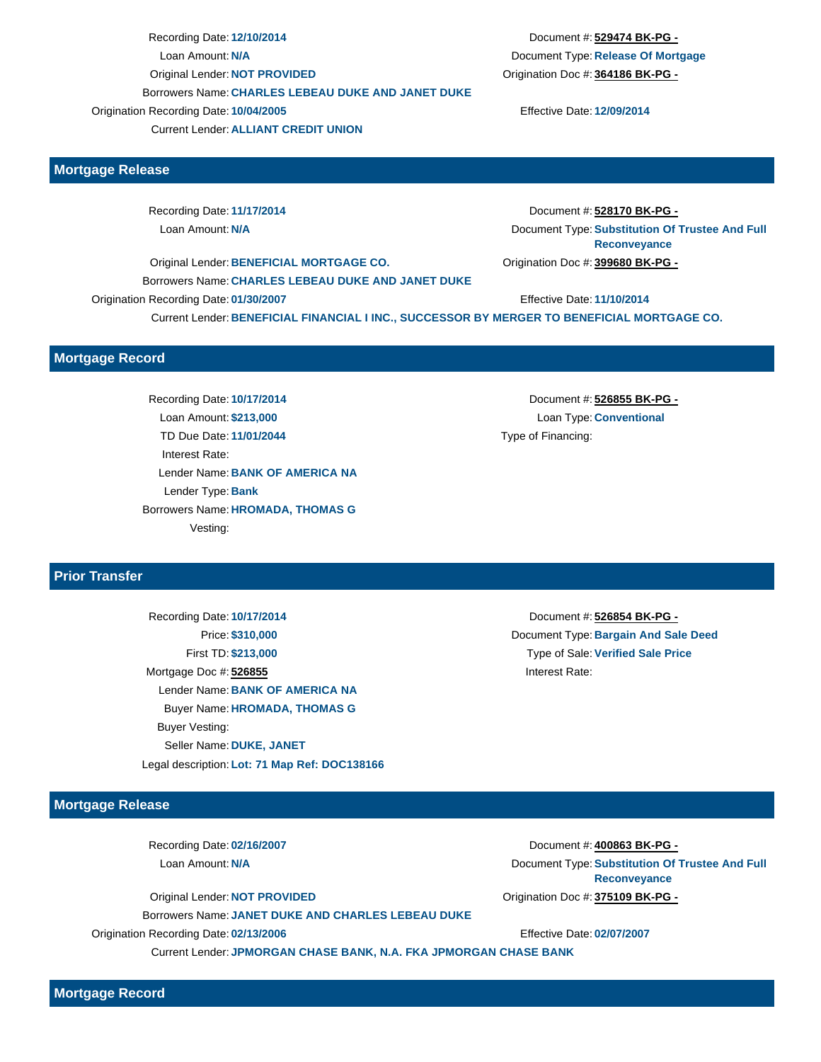Recording Date: **12/10/2014** Document #: **529474 BK-PG -** Loan Amount: **N/A** Document Type: **Release Of Mortgage** Original Lender: **NOT PROVIDED** Origination Doc #: **364186 BK-PG -** Borrowers Name: **CHARLES LEBEAU DUKE AND JANET DUKE** Origination Recording Date: **10/04/2005** Effective Date: **12/09/2014** Current Lender: **ALLIANT CREDIT UNION**

#### **Mortgage Release**

Recording Date: **11/17/2014** Document #: **528170 BK-PG -** Loan Amount: **N/A** Document Type: **Substitution Of Trustee And Full Reconveyance** Original Lender: **BENEFICIAL MORTGAGE CO.** Origination Doc #: **399680 BK-PG -**

Borrowers Name: **CHARLES LEBEAU DUKE AND JANET DUKE** Origination Recording Date: **01/30/2007** Effective Date: **11/10/2014**

Current Lender: **BENEFICIAL FINANCIAL I INC., SUCCESSOR BY MERGER TO BENEFICIAL MORTGAGE CO.**

#### **Mortgage Record**

Recording Date: **10/17/2014** Document #: **526855 BK-PG -** Loan Amount: **\$213,000** Loan Type: **Conventional** TD Due Date: **11/01/2044** TD Due Date: **11/01/2044** Type of Financing: Interest Rate: Lender Name: **BANK OF AMERICA NA** Lender Type: **Bank** Borrowers Name: **HROMADA, THOMAS G** Vesting:

## **Prior Transfer**

Recording Date: **10/17/2014** Document #: **526854 BK-PG -** First TD: **\$213,000** Type of Sale:**Verified Sale Price** Mortgage Doc #: 526855 **Interest Rate:** Lender Name: **BANK OF AMERICA NA** Buyer Name: **HROMADA, THOMAS G** Buyer Vesting: Seller Name: **DUKE, JANET**

**Mortgage Release**

Recording Date: **02/16/2007** Document #: **400863 BK-PG -**

Original Lender: **NOT PROVIDED** Origination Doc #: **375109 BK-PG -** Borrowers Name: **JANET DUKE AND CHARLES LEBEAU DUKE** Origination Recording Date: **02/13/2006** Effective Date: **02/07/2007** Current Lender: **JPMORGAN CHASE BANK, N.A. FKA JPMORGAN CHASE BANK**

Price: **\$310,000** Document Type: **Bargain And Sale Deed**

**Mortgage Record**

Legal description: **Lot: 71 Map Ref: DOC138166** 

Loan Amount: **N/A** Document Type: **Substitution Of Trustee And Full Reconveyance**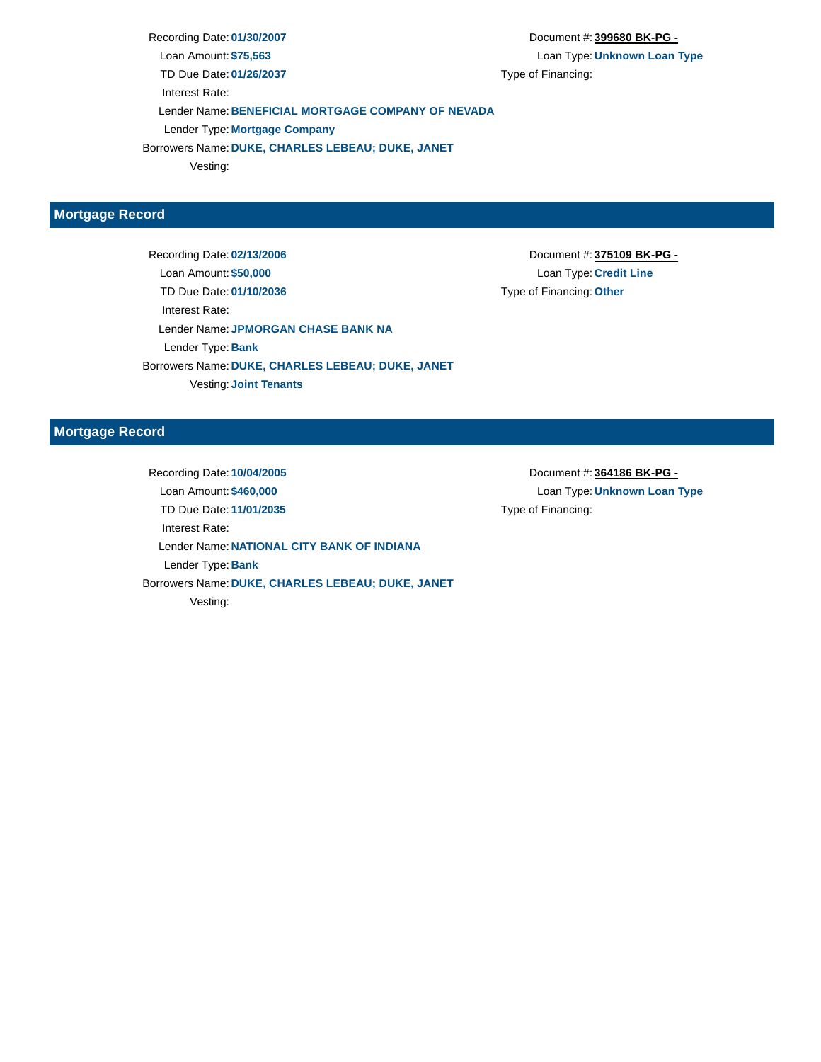Recording Date: **01/30/2007** Document #: **399680 BK-PG -** Loan Amount: **\$75,563** Loan Type: **Unknown Loan Type** TD Due Date: 01/26/2037 TD Due Date: 01/26/2037 Interest Rate: Lender Name: **BENEFICIAL MORTGAGE COMPANY OF NEVADA** Lender Type: **Mortgage Company** Borrowers Name: **DUKE, CHARLES LEBEAU; DUKE, JANET**

Vesting:

## **Mortgage Record**

Recording Date: **02/13/2006** Document #: **375109 BK-PG -** Loan Amount: **\$50,000** Loan Type: **Credit Line** TD Due Date: **01/10/2036** Type of Financing: **Other** Interest Rate: Lender Name: **JPMORGAN CHASE BANK NA** Lender Type: **Bank** Borrowers Name: **DUKE, CHARLES LEBEAU; DUKE, JANET** Vesting: **Joint Tenants**

#### **Mortgage Record**

Recording Date: **10/04/2005** Document #: **364186 BK-PG -** Loan Amount: **\$460,000** Loan Type: **Unknown Loan Type** TD Due Date: **11/01/2035** Type of Financing: Interest Rate: Lender Name: **NATIONAL CITY BANK OF INDIANA** Lender Type: **Bank** Borrowers Name: **DUKE, CHARLES LEBEAU; DUKE, JANET** Vesting: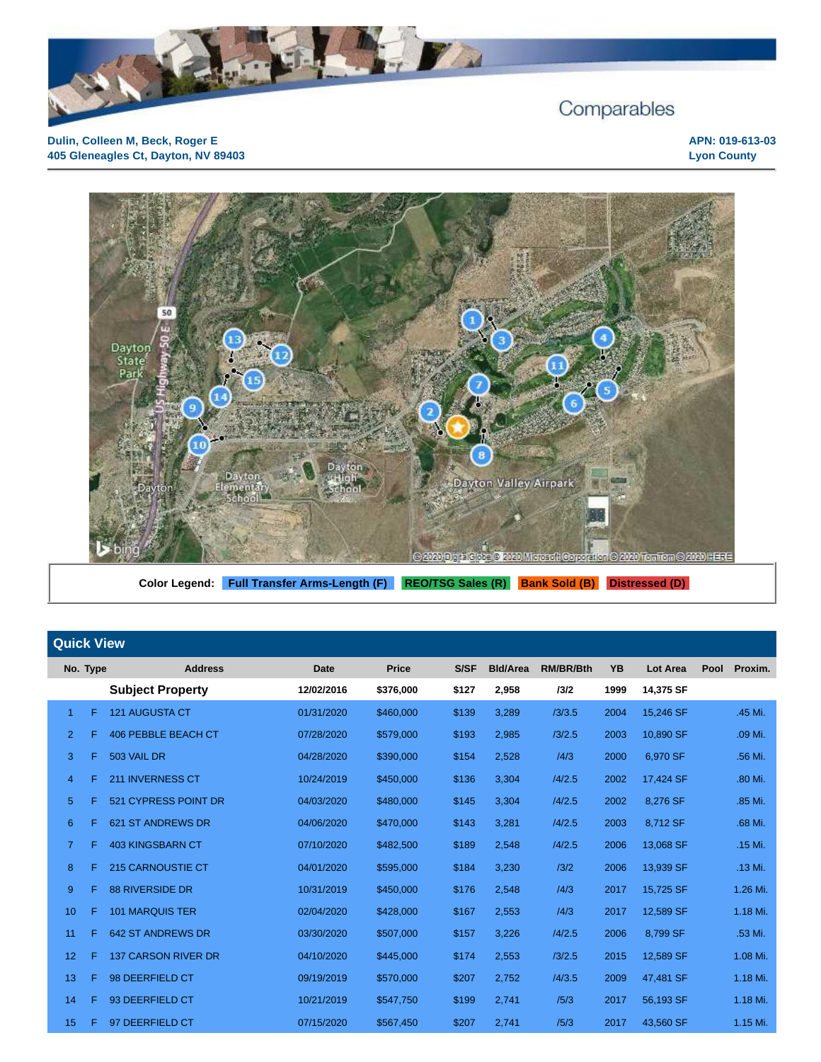



Color Legend: Full Transfer Arms-Length (F) REO/TSG Sales (R) Bank Sold (B) Distressed (D)

|                | <b>Quick View</b> |                            |             |           |       |                 |                  |           |                 |      |          |
|----------------|-------------------|----------------------------|-------------|-----------|-------|-----------------|------------------|-----------|-----------------|------|----------|
|                | No. Type          | <b>Address</b>             | <b>Date</b> | Price     | S/SF  | <b>Bld/Area</b> | <b>RM/BR/Bth</b> | <b>YB</b> | <b>Lot Area</b> | Pool | Proxim.  |
|                |                   | <b>Subject Property</b>    | 12/02/2016  | \$376,000 | \$127 | 2,958           | 13/2             | 1999      | 14,375 SF       |      |          |
| $\mathbf{1}$   | F                 | <b>121 AUGUSTA CT</b>      | 01/31/2020  | \$460,000 | \$139 | 3,289           | /3/3.5           | 2004      | 15,246 SF       |      | .45 Mi.  |
| $\overline{2}$ | F                 | <b>406 PEBBLE BEACH CT</b> | 07/28/2020  | \$579,000 | \$193 | 2,985           | /3/2.5           | 2003      | 10,890 SF       |      | .09 Mi.  |
| 3              | F                 | 503 VAIL DR                | 04/28/2020  | \$390,000 | \$154 | 2,528           | /4/3             | 2000      | 6,970 SF        |      | .56 Mi.  |
| 4              | F                 | <b>211 INVERNESS CT</b>    | 10/24/2019  | \$450,000 | \$136 | 3,304           | /4/2.5           | 2002      | 17,424 SF       |      | .80 Mi.  |
| 5              | F                 | 521 CYPRESS POINT DR       | 04/03/2020  | \$480,000 | \$145 | 3,304           | /4/2.5           | 2002      | 8,276 SF        |      | .85 Mi.  |
| 6              | F                 | <b>621 ST ANDREWS DR</b>   | 04/06/2020  | \$470,000 | \$143 | 3,281           | /4/2.5           | 2003      | 8,712 SF        |      | .68 Mi.  |
| $\overline{7}$ | F.                | <b>403 KINGSBARN CT</b>    | 07/10/2020  | \$482,500 | \$189 | 2,548           | /4/2.5           | 2006      | 13,068 SF       |      | .15 Mi.  |
| 8              | F                 | <b>215 CARNOUSTIE CT</b>   | 04/01/2020  | \$595,000 | \$184 | 3,230           | /3/2             | 2006      | 13,939 SF       |      | .13 Mi.  |
| 9              | F                 | <b>88 RIVERSIDE DR</b>     | 10/31/2019  | \$450,000 | \$176 | 2,548           | /4/3             | 2017      | 15,725 SF       |      | 1.26 Mi. |
| 10             | F                 | <b>101 MARQUIS TER</b>     | 02/04/2020  | \$428,000 | \$167 | 2,553           | /4/3             | 2017      | 12,589 SF       |      | 1.18 Mi. |
| 11             | F                 | <b>642 ST ANDREWS DR</b>   | 03/30/2020  | \$507,000 | \$157 | 3,226           | /4/2.5           | 2006      | 8,799 SF        |      | .53 Mi.  |
| 12             | F                 | <b>137 CARSON RIVER DR</b> | 04/10/2020  | \$445,000 | \$174 | 2,553           | /3/2.5           | 2015      | 12,589 SF       |      | 1.08 Mi. |
| 13             | F                 | 98 DEERFIELD CT            | 09/19/2019  | \$570,000 | \$207 | 2,752           | /4/3.5           | 2009      | 47,481 SF       |      | 1.18 Mi. |
| 14             | F                 | 93 DEERFIELD CT            | 10/21/2019  | \$547,750 | \$199 | 2,741           | /5/3             | 2017      | 56,193 SF       |      | 1.18 Mi. |
| 15             | F                 | 97 DEERFIELD CT            | 07/15/2020  | \$567,450 | \$207 | 2,741           | /5/3             | 2017      | 43,560 SF       |      | 1.15 Mi. |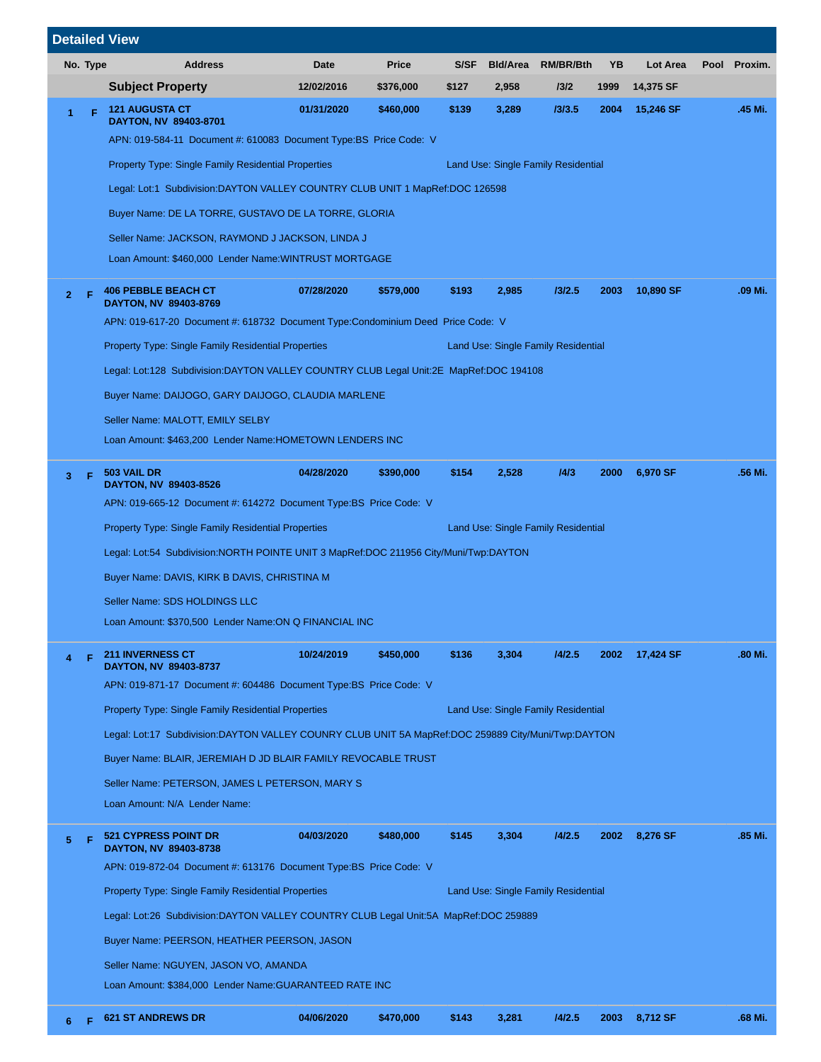|    |          |                                                                                                   | <b>Detailed View</b>                                                                               |            |              |       |                 |                                     |      |           |      |         |
|----|----------|---------------------------------------------------------------------------------------------------|----------------------------------------------------------------------------------------------------|------------|--------------|-------|-----------------|-------------------------------------|------|-----------|------|---------|
|    | No. Type |                                                                                                   | <b>Address</b>                                                                                     | Date       | <b>Price</b> | S/SF  | <b>BId/Area</b> | <b>RM/BR/Bth</b>                    | YΒ   | Lot Area  | Pool | Proxim. |
|    |          |                                                                                                   | <b>Subject Property</b>                                                                            | 12/02/2016 | \$376,000    | \$127 | 2,958           | 13/2                                | 1999 | 14,375 SF |      |         |
| 1  |          | F                                                                                                 | <b>121 AUGUSTA CT</b><br>DAYTON, NV 89403-8701                                                     | 01/31/2020 | \$460,000    | \$139 | 3,289           | 13/3.5                              | 2004 | 15,246 SF |      | .45 Mi. |
|    |          |                                                                                                   | APN: 019-584-11 Document #: 610083 Document Type: BS Price Code: V                                 |            |              |       |                 |                                     |      |           |      |         |
|    |          |                                                                                                   | <b>Property Type: Single Family Residential Properties</b>                                         |            |              |       |                 | Land Use: Single Family Residential |      |           |      |         |
|    |          |                                                                                                   | Legal: Lot:1 Subdivision:DAYTON VALLEY COUNTRY CLUB UNIT 1 MapRef:DOC 126598                       |            |              |       |                 |                                     |      |           |      |         |
|    |          |                                                                                                   | Buyer Name: DE LA TORRE, GUSTAVO DE LA TORRE, GLORIA                                               |            |              |       |                 |                                     |      |           |      |         |
|    |          |                                                                                                   | Seller Name: JACKSON, RAYMOND J JACKSON, LINDA J                                                   |            |              |       |                 |                                     |      |           |      |         |
|    |          |                                                                                                   | Loan Amount: \$460,000 Lender Name: WINTRUST MORTGAGE                                              |            |              |       |                 |                                     |      |           |      |         |
| 2. |          | F                                                                                                 | <b>406 PEBBLE BEACH CT</b><br>DAYTON, NV 89403-8769                                                | 07/28/2020 | \$579,000    | \$193 | 2,985           | 13/2.5                              | 2003 | 10,890 SF |      | .09 Mi. |
|    |          |                                                                                                   | APN: 019-617-20 Document #: 618732 Document Type:Condominium Deed Price Code: V                    |            |              |       |                 |                                     |      |           |      |         |
|    |          |                                                                                                   | <b>Property Type: Single Family Residential Properties</b>                                         |            |              |       |                 | Land Use: Single Family Residential |      |           |      |         |
|    |          |                                                                                                   | Legal: Lot:128 Subdivision:DAYTON VALLEY COUNTRY CLUB Legal Unit:2E MapRef:DOC 194108              |            |              |       |                 |                                     |      |           |      |         |
|    |          |                                                                                                   | Buyer Name: DAIJOGO, GARY DAIJOGO, CLAUDIA MARLENE                                                 |            |              |       |                 |                                     |      |           |      |         |
|    |          |                                                                                                   | Seller Name: MALOTT, EMILY SELBY                                                                   |            |              |       |                 |                                     |      |           |      |         |
|    |          |                                                                                                   | Loan Amount: \$463,200 Lender Name: HOMETOWN LENDERS INC                                           |            |              |       |                 |                                     |      |           |      |         |
| 3. |          | F                                                                                                 | 503 VAIL DR<br>DAYTON, NV 89403-8526                                                               | 04/28/2020 | \$390,000    | \$154 | 2,528           | 14/3                                | 2000 | 6,970 SF  |      | .56 Mi. |
|    |          |                                                                                                   | APN: 019-665-12 Document #: 614272 Document Type:BS Price Code: V                                  |            |              |       |                 |                                     |      |           |      |         |
|    |          | <b>Property Type: Single Family Residential Properties</b><br>Land Use: Single Family Residential |                                                                                                    |            |              |       |                 |                                     |      |           |      |         |
|    |          | Legal: Lot:54 Subdivision:NORTH POINTE UNIT 3 MapRef:DOC 211956 City/Muni/Twp:DAYTON              |                                                                                                    |            |              |       |                 |                                     |      |           |      |         |
|    |          |                                                                                                   | Buyer Name: DAVIS, KIRK B DAVIS, CHRISTINA M                                                       |            |              |       |                 |                                     |      |           |      |         |
|    |          |                                                                                                   | Seller Name: SDS HOLDINGS LLC                                                                      |            |              |       |                 |                                     |      |           |      |         |
|    |          |                                                                                                   | Loan Amount: \$370,500 Lender Name: ON Q FINANCIAL INC                                             |            |              |       |                 |                                     |      |           |      |         |
|    |          | Е                                                                                                 | <b>211 INVERNESS CT</b><br>DAYTON, NV 89403-8737                                                   | 10/24/2019 | \$450,000    | \$136 | 3,304           | 14/2.5                              | 2002 | 17,424 SF |      | .80 Mi. |
|    |          |                                                                                                   | APN: 019-871-17 Document #: 604486 Document Type: BS Price Code: V                                 |            |              |       |                 |                                     |      |           |      |         |
|    |          |                                                                                                   | <b>Property Type: Single Family Residential Properties</b>                                         |            |              |       |                 | Land Use: Single Family Residential |      |           |      |         |
|    |          |                                                                                                   | Legal: Lot:17 Subdivision:DAYTON VALLEY COUNRY CLUB UNIT 5A MapRef:DOC 259889 City/Muni/Twp:DAYTON |            |              |       |                 |                                     |      |           |      |         |
|    |          |                                                                                                   | Buyer Name: BLAIR, JEREMIAH D JD BLAIR FAMILY REVOCABLE TRUST                                      |            |              |       |                 |                                     |      |           |      |         |
|    |          |                                                                                                   | Seller Name: PETERSON, JAMES L PETERSON, MARY S                                                    |            |              |       |                 |                                     |      |           |      |         |
|    |          |                                                                                                   | Loan Amount: N/A Lender Name:                                                                      |            |              |       |                 |                                     |      |           |      |         |
| 5  |          |                                                                                                   | <b>521 CYPRESS POINT DR</b><br>DAYTON, NV 89403-8738                                               | 04/03/2020 | \$480,000    | \$145 | 3,304           | 14/2.5                              | 2002 | 8,276 SF  |      | .85 Mi. |
|    |          |                                                                                                   | APN: 019-872-04 Document #: 613176 Document Type: BS Price Code: V                                 |            |              |       |                 |                                     |      |           |      |         |
|    |          |                                                                                                   | <b>Property Type: Single Family Residential Properties</b>                                         |            |              |       |                 | Land Use: Single Family Residential |      |           |      |         |
|    |          |                                                                                                   | Legal: Lot:26 Subdivision:DAYTON VALLEY COUNTRY CLUB Legal Unit:5A MapRef:DOC 259889               |            |              |       |                 |                                     |      |           |      |         |
|    |          |                                                                                                   | Buyer Name: PEERSON, HEATHER PEERSON, JASON                                                        |            |              |       |                 |                                     |      |           |      |         |
|    |          |                                                                                                   | Seller Name: NGUYEN, JASON VO, AMANDA                                                              |            |              |       |                 |                                     |      |           |      |         |
|    |          |                                                                                                   | Loan Amount: \$384,000 Lender Name: GUARANTEED RATE INC                                            |            |              |       |                 |                                     |      |           |      |         |
|    |          |                                                                                                   | <b>621 ST ANDREWS DR</b>                                                                           | 04/06/2020 | \$470,000    | \$143 | 3,281           | 14/2.5                              | 2003 | 8,712 SF  |      | .68 Mi. |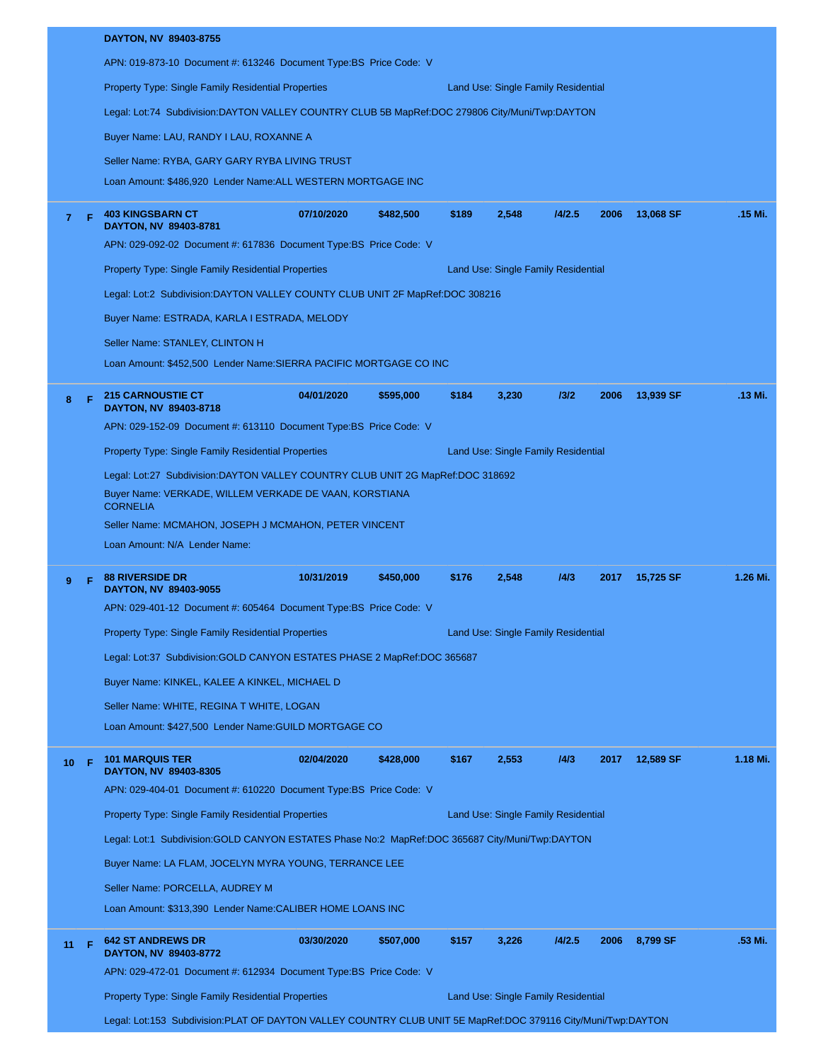|                |   | DAYTON, NV 89403-8755                                                                          |            |           |       |                                     |        |      |           |          |
|----------------|---|------------------------------------------------------------------------------------------------|------------|-----------|-------|-------------------------------------|--------|------|-----------|----------|
|                |   | APN: 019-873-10 Document #: 613246 Document Type: BS Price Code: V                             |            |           |       |                                     |        |      |           |          |
|                |   | <b>Property Type: Single Family Residential Properties</b>                                     |            |           |       | Land Use: Single Family Residential |        |      |           |          |
|                |   | Legal: Lot:74 Subdivision:DAYTON VALLEY COUNTRY CLUB 5B MapRef:DOC 279806 City/Muni/Twp:DAYTON |            |           |       |                                     |        |      |           |          |
|                |   | Buyer Name: LAU, RANDY I LAU, ROXANNE A                                                        |            |           |       |                                     |        |      |           |          |
|                |   | Seller Name: RYBA, GARY GARY RYBA LIVING TRUST                                                 |            |           |       |                                     |        |      |           |          |
|                |   | Loan Amount: \$486,920 Lender Name:ALL WESTERN MORTGAGE INC                                    |            |           |       |                                     |        |      |           |          |
| $\overline{7}$ | Е | <b>403 KINGSBARN CT</b><br>DAYTON, NV 89403-8781                                               | 07/10/2020 | \$482,500 | \$189 | 2,548                               | 14/2.5 | 2006 | 13,068 SF | .15 Mi.  |
|                |   | APN: 029-092-02 Document #: 617836 Document Type:BS Price Code: V                              |            |           |       |                                     |        |      |           |          |
|                |   | <b>Property Type: Single Family Residential Properties</b>                                     |            |           |       | Land Use: Single Family Residential |        |      |           |          |
|                |   | Legal: Lot:2 Subdivision:DAYTON VALLEY COUNTY CLUB UNIT 2F MapRef:DOC 308216                   |            |           |       |                                     |        |      |           |          |
|                |   | Buyer Name: ESTRADA, KARLA I ESTRADA, MELODY                                                   |            |           |       |                                     |        |      |           |          |
|                |   | Seller Name: STANLEY, CLINTON H                                                                |            |           |       |                                     |        |      |           |          |
|                |   | Loan Amount: \$452,500 Lender Name:SIERRA PACIFIC MORTGAGE CO INC                              |            |           |       |                                     |        |      |           |          |
| 8              |   | <b>215 CARNOUSTIE CT</b><br>DAYTON, NV 89403-8718                                              | 04/01/2020 | \$595,000 | \$184 | 3,230                               | 13/2   | 2006 | 13,939 SF | .13 Mi.  |
|                |   | APN: 029-152-09 Document #: 613110 Document Type:BS Price Code: V                              |            |           |       |                                     |        |      |           |          |
|                |   | <b>Property Type: Single Family Residential Properties</b>                                     |            |           |       | Land Use: Single Family Residential |        |      |           |          |
|                |   | Legal: Lot:27 Subdivision:DAYTON VALLEY COUNTRY CLUB UNIT 2G MapRef:DOC 318692                 |            |           |       |                                     |        |      |           |          |
|                |   | Buyer Name: VERKADE, WILLEM VERKADE DE VAAN, KORSTIANA<br><b>CORNELIA</b>                      |            |           |       |                                     |        |      |           |          |
|                |   | Seller Name: MCMAHON, JOSEPH J MCMAHON, PETER VINCENT                                          |            |           |       |                                     |        |      |           |          |
|                |   | Loan Amount: N/A Lender Name:                                                                  |            |           |       |                                     |        |      |           |          |
|                |   | <b>88 RIVERSIDE DR</b>                                                                         | 10/31/2019 | \$450,000 | \$176 | 2,548                               | 14/3   | 2017 | 15,725 SF | 1.26 Mi. |
| 9              |   | DAYTON, NV 89403-9055                                                                          |            |           |       |                                     |        |      |           |          |
|                |   | APN: 029-401-12 Document #: 605464 Document Type:BS Price Code: V                              |            |           |       |                                     |        |      |           |          |
|                |   | <b>Property Type: Single Family Residential Properties</b>                                     |            |           |       | Land Use: Single Family Residential |        |      |           |          |
|                |   | Legal: Lot:37 Subdivision:GOLD CANYON ESTATES PHASE 2 MapRef:DOC 365687                        |            |           |       |                                     |        |      |           |          |
|                |   | Buyer Name: KINKEL, KALEE A KINKEL, MICHAEL D                                                  |            |           |       |                                     |        |      |           |          |
|                |   | Seller Name: WHITE, REGINA T WHITE, LOGAN                                                      |            |           |       |                                     |        |      |           |          |
|                |   | Loan Amount: \$427,500 Lender Name: GUILD MORTGAGE CO                                          |            |           |       |                                     |        |      |           |          |
| 10             | F | <b>101 MARQUIS TER</b>                                                                         | 02/04/2020 | \$428,000 | \$167 | 2,553                               | 14/3   | 2017 | 12,589 SF | 1.18 Mi. |
|                |   | DAYTON, NV 89403-8305<br>APN: 029-404-01 Document #: 610220 Document Type:BS Price Code: V     |            |           |       |                                     |        |      |           |          |
|                |   | <b>Property Type: Single Family Residential Properties</b>                                     |            |           |       | Land Use: Single Family Residential |        |      |           |          |
|                |   | Legal: Lot:1 Subdivision:GOLD CANYON ESTATES Phase No:2 MapRef:DOC 365687 City/Muni/Twp:DAYTON |            |           |       |                                     |        |      |           |          |
|                |   | Buyer Name: LA FLAM, JOCELYN MYRA YOUNG, TERRANCE LEE                                          |            |           |       |                                     |        |      |           |          |
|                |   | Seller Name: PORCELLA, AUDREY M                                                                |            |           |       |                                     |        |      |           |          |
|                |   | Loan Amount: \$313,390 Lender Name:CALIBER HOME LOANS INC                                      |            |           |       |                                     |        |      |           |          |
| 11             | F | <b>642 ST ANDREWS DR</b>                                                                       | 03/30/2020 | \$507,000 | \$157 | 3,226                               | 14/2.5 | 2006 | 8,799 SF  | .53 Mi.  |
|                |   | DAYTON, NV 89403-8772<br>APN: 029-472-01 Document #: 612934 Document Type:BS Price Code: V     |            |           |       |                                     |        |      |           |          |
|                |   | <b>Property Type: Single Family Residential Properties</b>                                     |            |           |       | Land Use: Single Family Residential |        |      |           |          |
|                |   |                                                                                                |            |           |       |                                     |        |      |           |          |

Legal: Lot:153 Subdivision:PLAT OF DAYTON VALLEY COUNTRY CLUB UNIT 5E MapRef:DOC 379116 City/Muni/Twp:DAYTON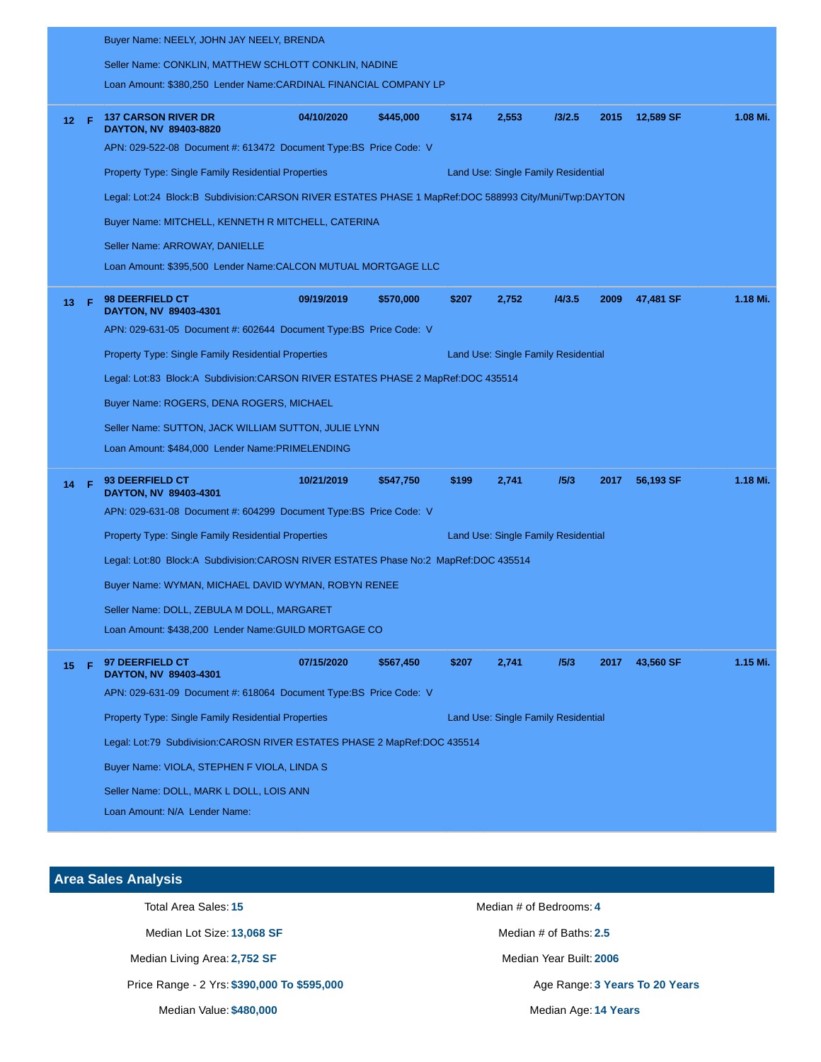|    |      | Buyer Name: NEELY, JOHN JAY NEELY, BRENDA                                                             |            |           |                                     |                                     |        |      |           |          |
|----|------|-------------------------------------------------------------------------------------------------------|------------|-----------|-------------------------------------|-------------------------------------|--------|------|-----------|----------|
|    |      | Seller Name: CONKLIN, MATTHEW SCHLOTT CONKLIN, NADINE                                                 |            |           |                                     |                                     |        |      |           |          |
|    |      | Loan Amount: \$380,250 Lender Name:CARDINAL FINANCIAL COMPANY LP                                      |            |           |                                     |                                     |        |      |           |          |
|    | 12 F | <b>137 CARSON RIVER DR</b><br>DAYTON, NV 89403-8820                                                   | 04/10/2020 | \$445,000 | \$174                               | 2,553                               | 13/2.5 | 2015 | 12,589 SF | 1.08 Mi. |
|    |      | APN: 029-522-08 Document #: 613472 Document Type:BS Price Code: V                                     |            |           |                                     |                                     |        |      |           |          |
|    |      | <b>Property Type: Single Family Residential Properties</b><br>Land Use: Single Family Residential     |            |           |                                     |                                     |        |      |           |          |
|    |      | Legal: Lot:24 Block:B Subdivision:CARSON RIVER ESTATES PHASE 1 MapRef:DOC 588993 City/Muni/Twp:DAYTON |            |           |                                     |                                     |        |      |           |          |
|    |      | Buyer Name: MITCHELL, KENNETH R MITCHELL, CATERINA                                                    |            |           |                                     |                                     |        |      |           |          |
|    |      | Seller Name: ARROWAY, DANIELLE                                                                        |            |           |                                     |                                     |        |      |           |          |
|    |      | Loan Amount: \$395,500 Lender Name: CALCON MUTUAL MORTGAGE LLC                                        |            |           |                                     |                                     |        |      |           |          |
| 13 | -F   | 98 DEERFIELD CT<br>DAYTON, NV 89403-4301                                                              | 09/19/2019 | \$570,000 | \$207                               | 2,752                               | 14/3.5 | 2009 | 47,481 SF | 1.18 Mi. |
|    |      | APN: 029-631-05 Document #: 602644 Document Type:BS Price Code: V                                     |            |           |                                     |                                     |        |      |           |          |
|    |      | <b>Property Type: Single Family Residential Properties</b><br>Land Use: Single Family Residential     |            |           |                                     |                                     |        |      |           |          |
|    |      | Legal: Lot:83 Block:A Subdivision:CARSON RIVER ESTATES PHASE 2 MapRef:DOC 435514                      |            |           |                                     |                                     |        |      |           |          |
|    |      | Buyer Name: ROGERS, DENA ROGERS, MICHAEL                                                              |            |           |                                     |                                     |        |      |           |          |
|    |      | Seller Name: SUTTON, JACK WILLIAM SUTTON, JULIE LYNN                                                  |            |           |                                     |                                     |        |      |           |          |
|    |      | Loan Amount: \$484,000 Lender Name:PRIMELENDING                                                       |            |           |                                     |                                     |        |      |           |          |
| 14 | -F.  | 93 DEERFIELD CT<br>DAYTON, NV 89403-4301                                                              | 10/21/2019 | \$547,750 | \$199                               | 2,741                               | 15/3   | 2017 | 56,193 SF | 1.18 Mi. |
|    |      | APN: 029-631-08 Document #: 604299 Document Type:BS Price Code: V                                     |            |           |                                     |                                     |        |      |           |          |
|    |      | <b>Property Type: Single Family Residential Properties</b>                                            |            |           |                                     | Land Use: Single Family Residential |        |      |           |          |
|    |      | Legal: Lot:80 Block:A Subdivision:CAROSN RIVER ESTATES Phase No:2 MapRef:DOC 435514                   |            |           |                                     |                                     |        |      |           |          |
|    |      | Buyer Name: WYMAN, MICHAEL DAVID WYMAN, ROBYN RENEE                                                   |            |           |                                     |                                     |        |      |           |          |
|    |      | Seller Name: DOLL, ZEBULA M DOLL, MARGARET                                                            |            |           |                                     |                                     |        |      |           |          |
|    |      | Loan Amount: \$438,200 Lender Name: GUILD MORTGAGE CO                                                 |            |           |                                     |                                     |        |      |           |          |
| 15 | Æ    | 97 DEERFIELD CT<br>DAYTON, NV 89403-4301                                                              | 07/15/2020 | \$567,450 | \$207                               | 2,741                               | 15/3   | 2017 | 43,560 SF | 1.15 Mi. |
|    |      | APN: 029-631-09 Document #: 618064 Document Type: BS Price Code: V                                    |            |           |                                     |                                     |        |      |           |          |
|    |      | Property Type: Single Family Residential Properties                                                   |            |           | Land Use: Single Family Residential |                                     |        |      |           |          |
|    |      | Legal: Lot:79 Subdivision:CAROSN RIVER ESTATES PHASE 2 MapRef:DOC 435514                              |            |           |                                     |                                     |        |      |           |          |
|    |      | Buyer Name: VIOLA, STEPHEN F VIOLA, LINDA S                                                           |            |           |                                     |                                     |        |      |           |          |
|    |      | Seller Name: DOLL, MARK L DOLL, LOIS ANN                                                              |            |           |                                     |                                     |        |      |           |          |
|    |      | Loan Amount: N/A Lender Name:                                                                         |            |           |                                     |                                     |        |      |           |          |
|    |      |                                                                                                       |            |           |                                     |                                     |        |      |           |          |

# **Area Sales Analysis**

Median Lot Size: **13,068 SF** Median # of Baths: 2.5

Median Living Area: 2,752 SF Median Year Built: 2006

Price Range - 2 Yrs: \$390,000 To \$595,000 **Age Range: 3 Years To 20 Years** To 20 Years

Median Value: **\$480,000** Median Age: **14 Years**

Total Area Sales: 15 **Median # of Bedrooms: 4** Median # of Bedrooms: 4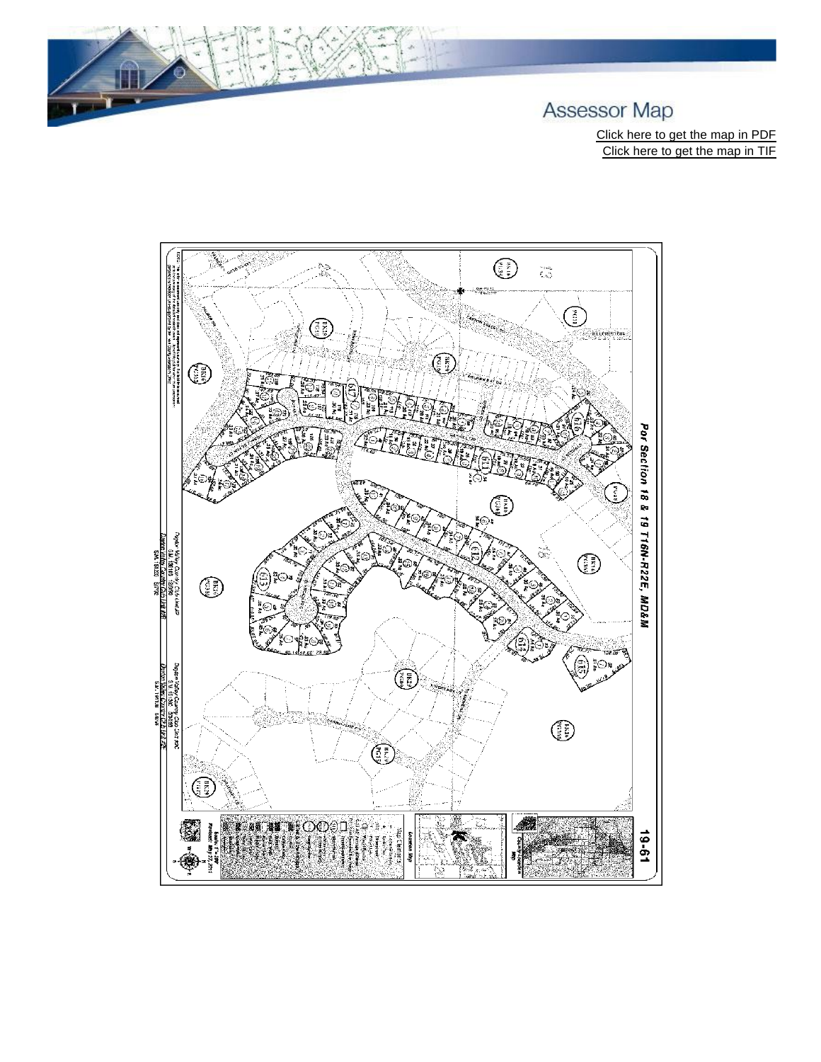

Click here to get the map in PDF Click here to get the map in TIF

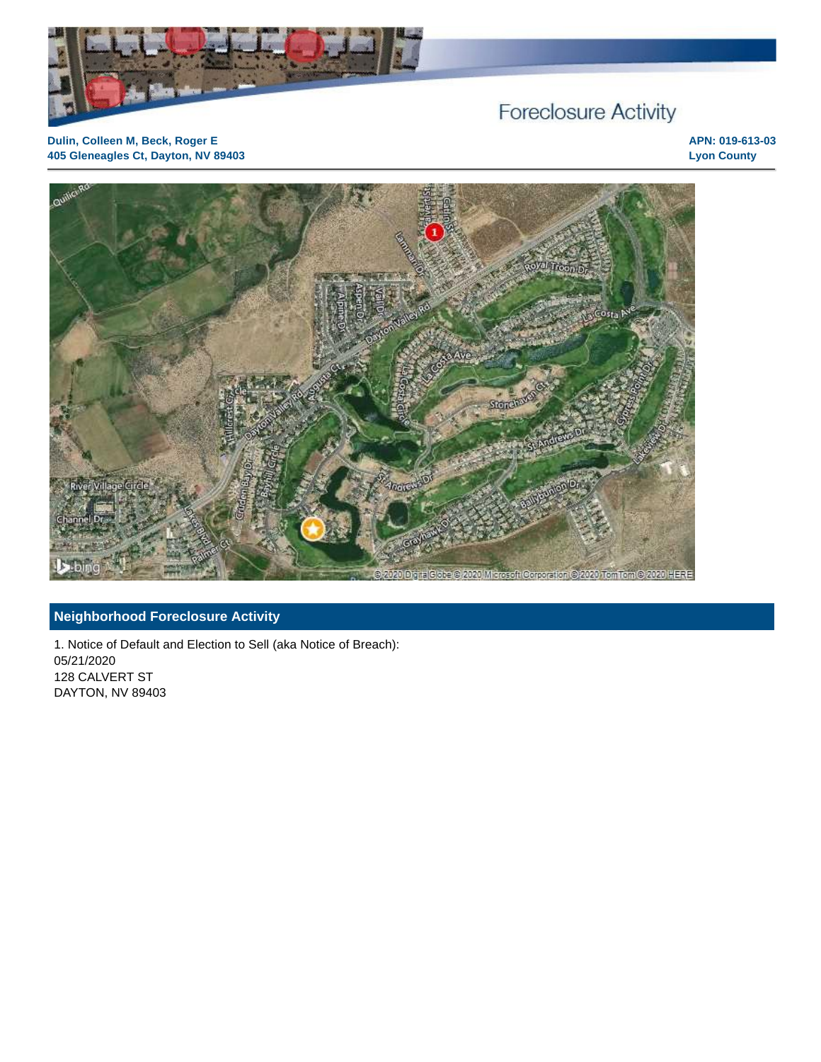

# Foreclosure Activity

**Dulin, Colleen M, Beck, Roger E 405 Gleneagles Ct, Dayton, NV 89403** **APN: 019-613-03 Lyon County**



# **Neighborhood Foreclosure Activity**

1. Notice of Default and Election to Sell (aka Notice of Breach): 05/21/2020 128 CALVERT ST DAYTON, NV 89403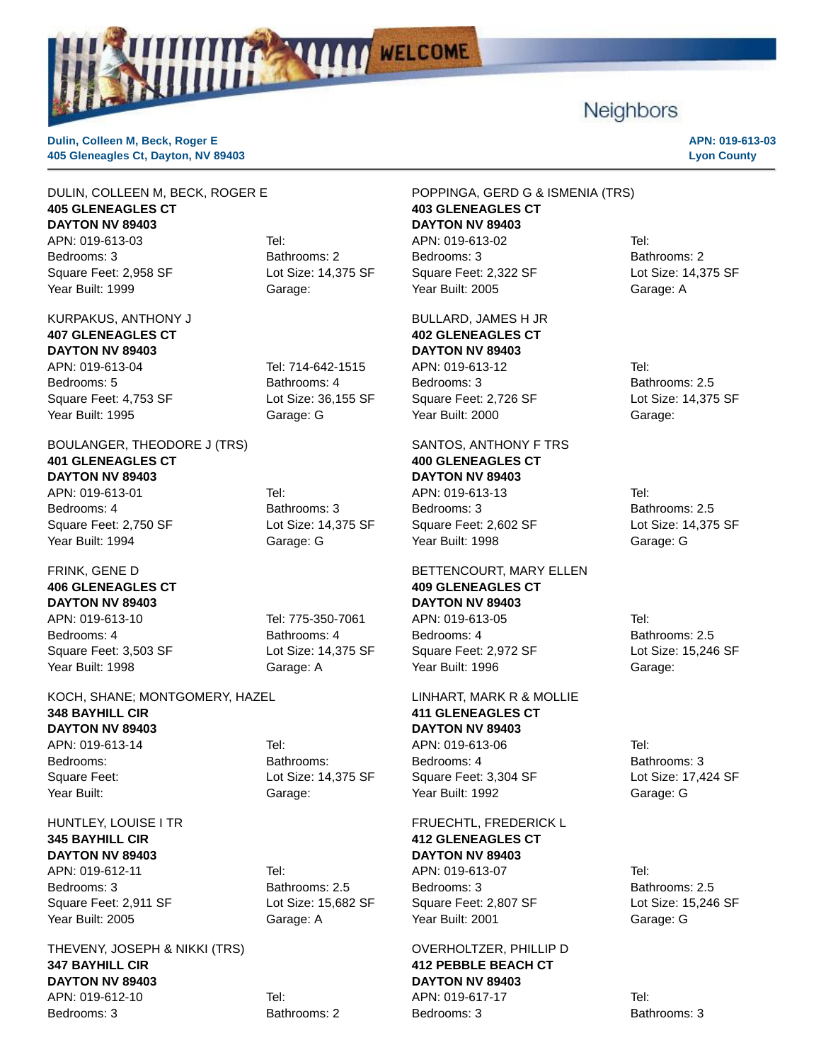

# **Neighbors**

**Dulin, Colleen M, Beck, Roger E 405 Gleneagles Ct, Dayton, NV 89403**

#### **APN: 019-613-03 Lyon County**

#### DULIN, COLLEEN M, BECK, ROGER E **405 GLENEAGLES CT DAYTON NV 89403**

APN: 019-613-03 Tel: Bedrooms: 3 Bathrooms: 2 Square Feet: 2,958 SF Lot Size: 14,375 SF Year Built: 1999 Garage:

## KURPAKUS, ANTHONY J **407 GLENEAGLES CT DAYTON NV 89403** APN: 019-613-04 Tel: 714-642-1515

Bedrooms: 5 Bathrooms: 4 Square Feet: 4,753 SF Lot Size: 36,155 SF Year Built: 1995 Garage: G

#### BOULANGER, THEODORE J (TRS) **401 GLENEAGLES CT DAYTON NV 89403**

APN: 019-613-01 Tel: Bedrooms: 4 Bathrooms: 3 Square Feet: 2,750 SF Lot Size: 14,375 SF Year Built: 1994 Garage: G

FRINK, GENE D **406 GLENEAGLES CT DAYTON NV 89403** APN: 019-613-10 Tel: 775-350-7061 Bedrooms: 4 Bathrooms: 4 Square Feet: 3,503 SF Lot Size: 14,375 SF Year Built: 1998 Garage: A

#### KOCH, SHANE; MONTGOMERY, HAZEL **348 BAYHILL CIR DAYTON NV 89403** APN: 019-613-14 Tel: Bedrooms: Bathrooms: Square Feet: Lot Size: 14,375 SF

# HUNTLEY, LOUISE I TR **345 BAYHILL CIR DAYTON NV 89403**

APN: 019-612-11 Tel: Bedrooms: 3 Bathrooms: 2.5 Square Feet: 2,911 SF Lot Size: 15,682 SF Year Built: 2005 Garage: A

THEVENY, JOSEPH & NIKKI (TRS) **347 BAYHILL CIR DAYTON NV 89403** APN: 019-612-10 Tel: Bedrooms: 3 Bathrooms: 2

# Year Built: Garage:

POPPINGA, GERD G & ISMENIA (TRS) **403 GLENEAGLES CT DAYTON NV 89403** APN: 019-613-02 Tel: Bedrooms: 3 Bathrooms: 2 Square Feet: 2,322 SF Lot Size: 14,375 SF Year Built: 2005 Garage: A

BULLARD, JAMES H JR **402 GLENEAGLES CT DAYTON NV 89403** APN: 019-613-12 Tel: Bedrooms: 3 Bathrooms: 2.5 Square Feet: 2,726 SF Lot Size: 14,375 SF Year Built: 2000 Garage:

SANTOS, ANTHONY F TRS **400 GLENEAGLES CT DAYTON NV 89403** APN: 019-613-13 Tel: Bedrooms: 3 Bathrooms: 2.5 Square Feet: 2,602 SF Lot Size: 14,375 SF Year Built: 1998 Garage: G

BETTENCOURT, MARY ELLEN **409 GLENEAGLES CT DAYTON NV 89403** APN: 019-613-05 Tel: Bedrooms: 4 Bathrooms: 2.5 Square Feet: 2,972 SF Lot Size: 15,246 SF Year Built: 1996 Garage:

LINHART, MARK R & MOLLIE **411 GLENEAGLES CT DAYTON NV 89403** APN: 019-613-06 Tel: Bedrooms: 4 Bathrooms: 3 Square Feet: 3,304 SF Lot Size: 17,424 SF Year Built: 1992 Garage: G

FRUECHTL, FREDERICK L **412 GLENEAGLES CT DAYTON NV 89403** APN: 019-613-07 Tel: Bedrooms: 3 Bathrooms: 2.5

Square Feet: 2,807 SF Lot Size: 15,246 SF Year Built: 2001 Garage: G

#### OVERHOLTZER, PHILLIP D **412 PEBBLE BEACH CT DAYTON NV 89403** APN: 019-617-17 Tel:

Bedrooms: 3 Bathrooms: 3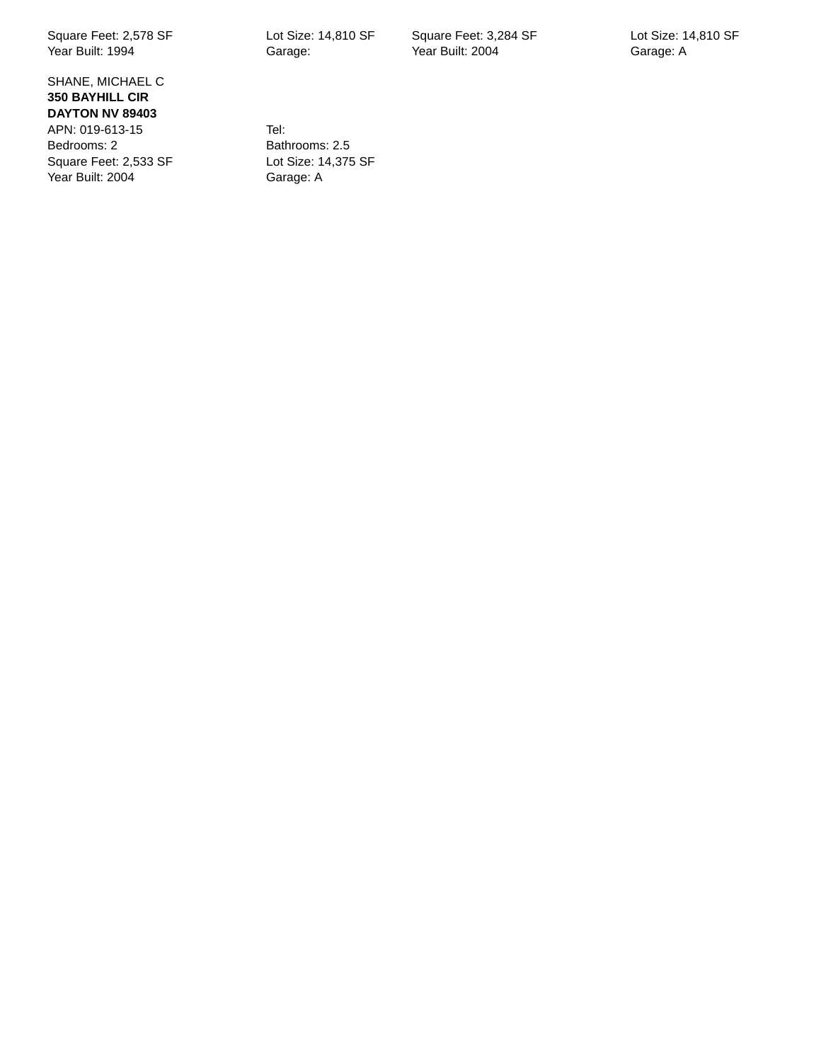Square Feet: 2,578 SF Lot Size: 14,810 SF Year Built: 1994 Garage:

SHANE, MICHAEL C **350 BAYHILL CIR DAYTON NV 89403** APN: 019-613-15 Tel: Bedrooms: 2<br>
Square Feet: 2,533 SF Lot Size: 14,375 SF Square Feet: 2,533 SF Year Built: 2004 Garage: A

Square Feet: 3,284 SF Lot Size: 14,810 SF Year Built: 2004 Garage: A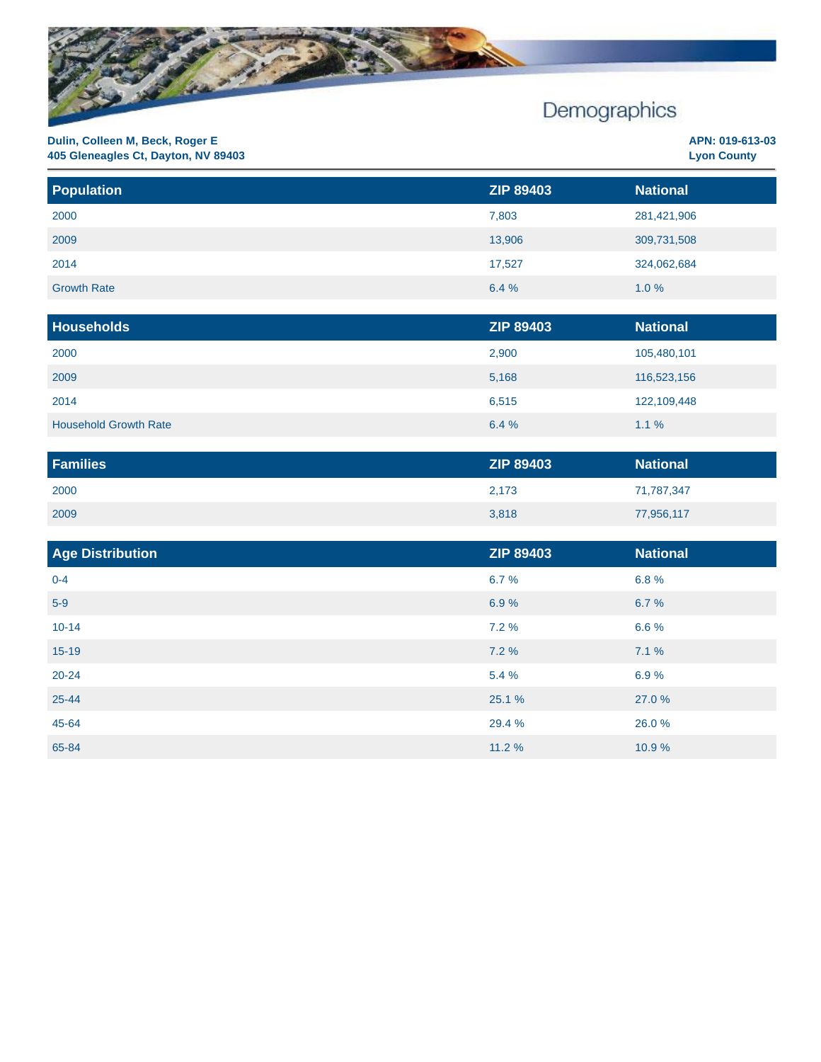

| <b>Population</b>  | <b>ZIP 89403</b> | <b>National</b> |
|--------------------|------------------|-----------------|
| 2000               | 7,803            | 281,421,906     |
| 2009               | 13,906           | 309,731,508     |
| 2014               | 17,527           | 324,062,684     |
| <b>Growth Rate</b> | 6.4%             | 1.0%            |

| <b>Households</b>            | <b>ZIP 89403</b> | <b>National</b> |
|------------------------------|------------------|-----------------|
| 2000                         | 2,900            | 105,480,101     |
| 2009                         | 5,168            | 116,523,156     |
| 2014                         | 6,515            | 122,109,448     |
| <b>Household Growth Rate</b> | 6.4%             | $1.1 \%$        |

| <b>Families</b> | <b>ZIP 89403</b> | <b>National</b> |
|-----------------|------------------|-----------------|
| 2000            | 2,173            | 71,787,347      |
| 2009            | 3,818            | 77,956,117      |

| Age Distribution | <b>ZIP 89403</b> | <b>National</b> |
|------------------|------------------|-----------------|
| $0 - 4$          | 6.7%             | 6.8%            |
| $5-9$            | 6.9%             | 6.7 %           |
| $10 - 14$        | 7.2%             | 6.6%            |
| $15-19$          | 7.2%             | 7.1%            |
| $20 - 24$        | 5.4 %            | 6.9%            |
| 25-44            | 25.1 %           | 27.0 %          |
| 45-64            | 29.4 %           | 26.0%           |
| 65-84            | 11.2 %           | 10.9%           |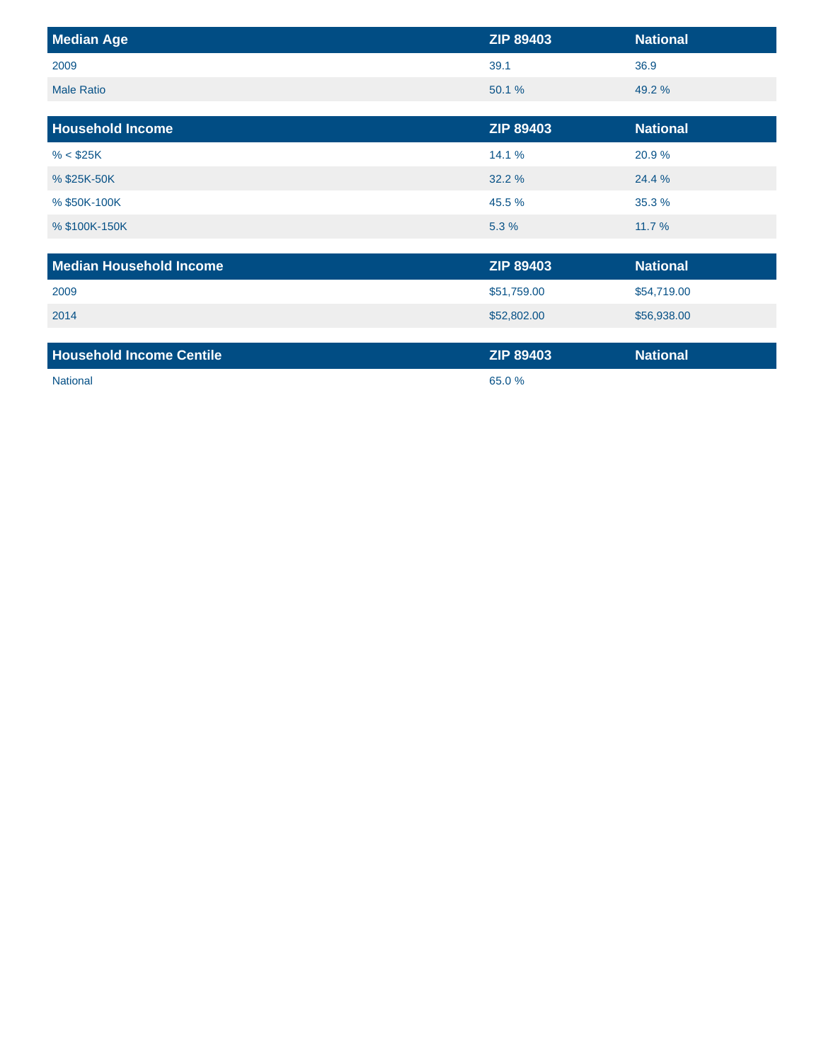| <b>Median Age</b>               | <b>ZIP 89403</b> | <b>National</b> |
|---------------------------------|------------------|-----------------|
| 2009                            | 39.1             | 36.9            |
| <b>Male Ratio</b>               | 50.1 %           | 49.2 %          |
|                                 |                  |                 |
| <b>Household Income</b>         | <b>ZIP 89403</b> | <b>National</b> |
| % < \$25K                       | 14.1 %           | 20.9%           |
| % \$25K-50K                     | 32.2 %           | 24.4 %          |
| % \$50K-100K                    | 45.5 %           | 35.3 %          |
| % \$100K-150K                   | 5.3 %            | 11.7 %          |
|                                 |                  |                 |
| <b>Median Household Income</b>  | <b>ZIP 89403</b> | <b>National</b> |
| 2009                            | \$51,759.00      | \$54,719.00     |
| 2014                            | \$52,802.00      | \$56,938.00     |
|                                 |                  |                 |
| <b>Household Income Centile</b> | <b>ZIP 89403</b> | <b>National</b> |
| <b>National</b>                 | 65.0%            |                 |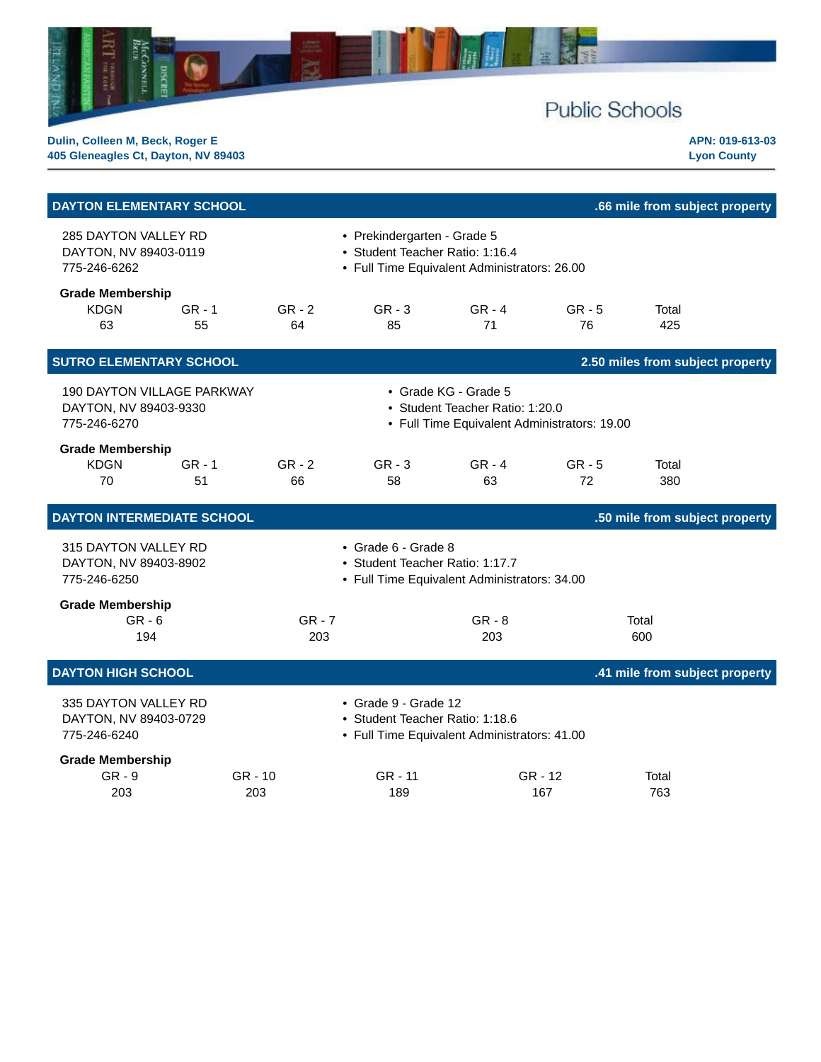

| <b>DAYTON ELEMENTARY SCHOOL</b>                                            |                 |                                                                                                         |                                              |                | .66 mile from subject property   |  |  |  |
|----------------------------------------------------------------------------|-----------------|---------------------------------------------------------------------------------------------------------|----------------------------------------------|----------------|----------------------------------|--|--|--|
| 285 DAYTON VALLEY RD<br>DAYTON, NV 89403-0119<br>775-246-6262              |                 | • Prekindergarten - Grade 5<br>• Student Teacher Ratio: 1:16.4                                          | • Full Time Equivalent Administrators: 26.00 |                |                                  |  |  |  |
| <b>Grade Membership</b><br><b>KDGN</b><br>$GR - 1$<br>63<br>55             | $GR - 2$<br>64  | $GR - 3$<br>85                                                                                          | $GR - 4$<br>71                               | $GR - 5$<br>76 | Total<br>425                     |  |  |  |
| <b>SUTRO ELEMENTARY SCHOOL</b>                                             |                 |                                                                                                         |                                              |                | 2.50 miles from subject property |  |  |  |
| <b>190 DAYTON VILLAGE PARKWAY</b><br>DAYTON, NV 89403-9330<br>775-246-6270 |                 | • Grade KG - Grade 5<br>• Student Teacher Ratio: 1:20.0<br>• Full Time Equivalent Administrators: 19.00 |                                              |                |                                  |  |  |  |
| <b>Grade Membership</b><br><b>KDGN</b><br>$GR - 1$<br>70<br>51             | $GR - 2$<br>66  | $GR - 3$<br>58                                                                                          | $GR - 4$<br>63                               | $GR - 5$<br>72 | Total<br>380                     |  |  |  |
| <b>DAYTON INTERMEDIATE SCHOOL</b>                                          |                 |                                                                                                         |                                              |                | .50 mile from subject property   |  |  |  |
| 315 DAYTON VALLEY RD<br>DAYTON, NV 89403-8902<br>775-246-6250              |                 | • Grade 6 - Grade 8<br>• Student Teacher Ratio: 1:17.7                                                  | • Full Time Equivalent Administrators: 34.00 |                |                                  |  |  |  |
| <b>Grade Membership</b><br>$GR - 6$<br>194                                 | $GR - 7$<br>203 |                                                                                                         | $GR - 8$<br>203                              |                | Total<br>600                     |  |  |  |
| <b>DAYTON HIGH SCHOOL</b>                                                  |                 |                                                                                                         |                                              |                | .41 mile from subject property   |  |  |  |
| 335 DAYTON VALLEY RD<br>DAYTON, NV 89403-0729<br>775-246-6240              |                 | • Grade 9 - Grade 12<br>• Student Teacher Ratio: 1:18.6                                                 | • Full Time Equivalent Administrators: 41.00 |                |                                  |  |  |  |
| <b>Grade Membership</b><br>$GR - 9$<br>203                                 | GR - 10<br>203  | GR - 11<br>189                                                                                          | GR - 12<br>167                               |                | Total<br>763                     |  |  |  |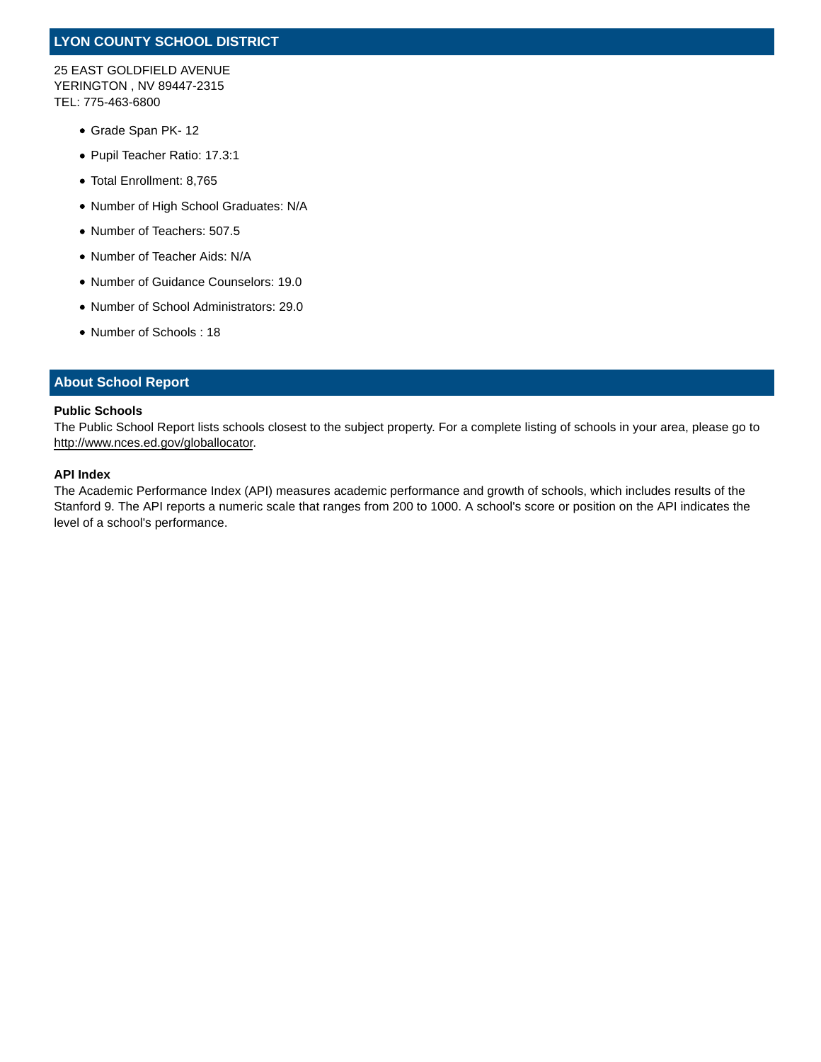# **LYON COUNTY SCHOOL DISTRICT**

25 EAST GOLDFIELD AVENUE YERINGTON , NV 89447-2315 TEL: 775-463-6800

- Grade Span PK- 12
- Pupil Teacher Ratio: 17.3:1
- Total Enrollment: 8,765
- Number of High School Graduates: N/A
- Number of Teachers: 507.5
- Number of Teacher Aids: N/A
- Number of Guidance Counselors: 19.0
- Number of School Administrators: 29.0
- Number of Schools : 18

#### **About School Report**

#### **Public Schools**

The Public School Report lists schools closest to the subject property. For a complete listing of schools in your area, please go to http://www.nces.ed.gov/globallocator.

#### **API Index**

The Academic Performance Index (API) measures academic performance and growth of schools, which includes results of the Stanford 9. The API reports a numeric scale that ranges from 200 to 1000. A school's score or position on the API indicates the level of a school's performance.